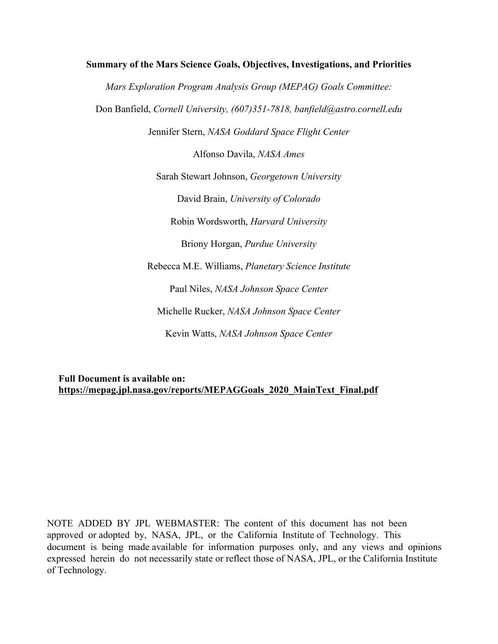# **Summary of the Mars Science Goals, Objectives, Investigations, and Priorities** *Mars Exploration Program Analysis Group (MEPAG) Goals Committee:* Don Banfield, *Cornell University, (607)351-7818, banfield@astro.cornell.edu* Jennifer Stern, *NASA Goddard Space Flight Center* Alfonso Davila, *NASA Ames* Sarah Stewart Johnson, *Georgetown University* David Brain, *University of Colorado* Robin Wordsworth, *Harvard University* Briony Horgan, *Purdue University* Rebecca M.E. Williams, *Planetary Science Institute* Paul Niles, *NASA Johnson Space Center* Michelle Rucker, *NASA Johnson Space Center* Kevin Watts, *NASA Johnson Space Center*

# **Full Document is available on: https://mepag.jpl.nasa.gov/reports/MEPAGGoals\_2020\_MainText\_Final.pdf**

NOTE ADDED BY JPL WEBMASTER: The content of this document has not been approved or adopted by, NASA, JPL, or the California Institute of Technology. This document is being made available for information purposes only, and any views and opinions expressed herein do not necessarily state or reflect those of NASA, JPL, or the California Institute of Technology.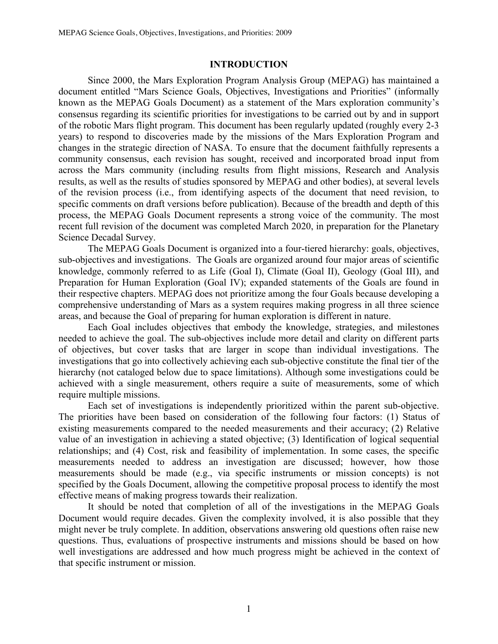### **INTRODUCTION**

Since 2000, the Mars Exploration Program Analysis Group (MEPAG) has maintained a document entitled "Mars Science Goals, Objectives, Investigations and Priorities" (informally known as the MEPAG Goals Document) as a statement of the Mars exploration community's consensus regarding its scientific priorities for investigations to be carried out by and in support of the robotic Mars flight program. This document has been regularly updated (roughly every 2-3 years) to respond to discoveries made by the missions of the Mars Exploration Program and changes in the strategic direction of NASA. To ensure that the document faithfully represents a community consensus, each revision has sought, received and incorporated broad input from across the Mars community (including results from flight missions, Research and Analysis results, as well as the results of studies sponsored by MEPAG and other bodies), at several levels of the revision process (i.e., from identifying aspects of the document that need revision, to specific comments on draft versions before publication). Because of the breadth and depth of this process, the MEPAG Goals Document represents a strong voice of the community. The most recent full revision of the document was completed March 2020, in preparation for the Planetary Science Decadal Survey.

The MEPAG Goals Document is organized into a four-tiered hierarchy: goals, objectives, sub-objectives and investigations. The Goals are organized around four major areas of scientific knowledge, commonly referred to as Life (Goal I), Climate (Goal II), Geology (Goal III), and Preparation for Human Exploration (Goal IV); expanded statements of the Goals are found in their respective chapters. MEPAG does not prioritize among the four Goals because developing a comprehensive understanding of Mars as a system requires making progress in all three science areas, and because the Goal of preparing for human exploration is different in nature.

Each Goal includes objectives that embody the knowledge, strategies, and milestones needed to achieve the goal. The sub-objectives include more detail and clarity on different parts of objectives, but cover tasks that are larger in scope than individual investigations. The investigations that go into collectively achieving each sub-objective constitute the final tier of the hierarchy (not cataloged below due to space limitations). Although some investigations could be achieved with a single measurement, others require a suite of measurements, some of which require multiple missions.

Each set of investigations is independently prioritized within the parent sub-objective. The priorities have been based on consideration of the following four factors: (1) Status of existing measurements compared to the needed measurements and their accuracy; (2) Relative value of an investigation in achieving a stated objective; (3) Identification of logical sequential relationships; and (4) Cost, risk and feasibility of implementation. In some cases, the specific measurements needed to address an investigation are discussed; however, how those measurements should be made (e.g., via specific instruments or mission concepts) is not specified by the Goals Document, allowing the competitive proposal process to identify the most effective means of making progress towards their realization.

It should be noted that completion of all of the investigations in the MEPAG Goals Document would require decades. Given the complexity involved, it is also possible that they might never be truly complete. In addition, observations answering old questions often raise new questions. Thus, evaluations of prospective instruments and missions should be based on how well investigations are addressed and how much progress might be achieved in the context of that specific instrument or mission.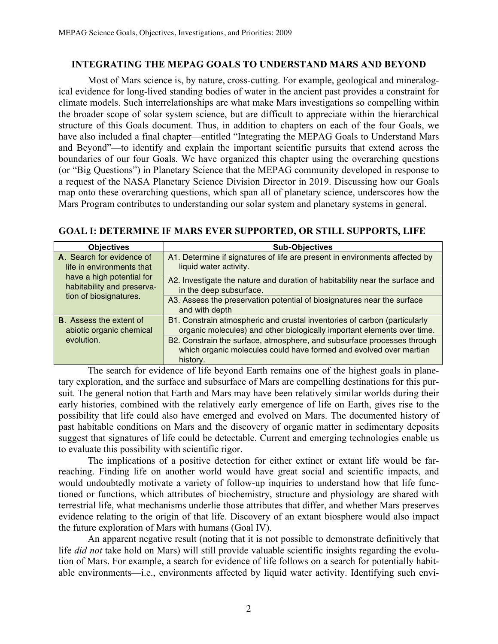# **INTEGRATING THE MEPAG GOALS TO UNDERSTAND MARS AND BEYOND**

Most of Mars science is, by nature, cross-cutting. For example, geological and mineralogical evidence for long-lived standing bodies of water in the ancient past provides a constraint for climate models. Such interrelationships are what make Mars investigations so compelling within the broader scope of solar system science, but are difficult to appreciate within the hierarchical structure of this Goals document. Thus, in addition to chapters on each of the four Goals, we have also included a final chapter—entitled "Integrating the MEPAG Goals to Understand Mars and Beyond"—to identify and explain the important scientific pursuits that extend across the boundaries of our four Goals. We have organized this chapter using the overarching questions (or "Big Questions") in Planetary Science that the MEPAG community developed in response to a request of the NASA Planetary Science Division Director in 2019. Discussing how our Goals map onto these overarching questions, which span all of planetary science, underscores how the Mars Program contributes to understanding our solar system and planetary systems in general.

| <b>Objectives</b>                                       | <b>Sub-Objectives</b>                                                        |
|---------------------------------------------------------|------------------------------------------------------------------------------|
| A. Search for evidence of                               | A1. Determine if signatures of life are present in environments affected by  |
| life in environments that                               | liquid water activity.                                                       |
| have a high potential for<br>habitability and preserva- | A2. Investigate the nature and duration of habitability near the surface and |
|                                                         | in the deep subsurface.                                                      |
| tion of biosignatures.                                  | A3. Assess the preservation potential of biosignatures near the surface      |
|                                                         | and with depth                                                               |
| <b>B.</b> Assess the extent of                          | B1. Constrain atmospheric and crustal inventories of carbon (particularly    |
| abiotic organic chemical<br>evolution.                  | organic molecules) and other biologically important elements over time.      |
|                                                         | B2. Constrain the surface, atmosphere, and subsurface processes through      |
|                                                         | which organic molecules could have formed and evolved over martian           |
|                                                         | history.                                                                     |

# **GOAL I: DETERMINE IF MARS EVER SUPPORTED, OR STILL SUPPORTS, LIFE**

The search for evidence of life beyond Earth remains one of the highest goals in planetary exploration, and the surface and subsurface of Mars are compelling destinations for this pursuit. The general notion that Earth and Mars may have been relatively similar worlds during their early histories, combined with the relatively early emergence of life on Earth, gives rise to the possibility that life could also have emerged and evolved on Mars. The documented history of past habitable conditions on Mars and the discovery of organic matter in sedimentary deposits suggest that signatures of life could be detectable. Current and emerging technologies enable us to evaluate this possibility with scientific rigor.

The implications of a positive detection for either extinct or extant life would be farreaching. Finding life on another world would have great social and scientific impacts, and would undoubtedly motivate a variety of follow-up inquiries to understand how that life functioned or functions, which attributes of biochemistry, structure and physiology are shared with terrestrial life, what mechanisms underlie those attributes that differ, and whether Mars preserves evidence relating to the origin of that life. Discovery of an extant biosphere would also impact the future exploration of Mars with humans (Goal IV).

An apparent negative result (noting that it is not possible to demonstrate definitively that life *did not* take hold on Mars) will still provide valuable scientific insights regarding the evolution of Mars. For example, a search for evidence of life follows on a search for potentially habitable environments—i.e., environments affected by liquid water activity. Identifying such envi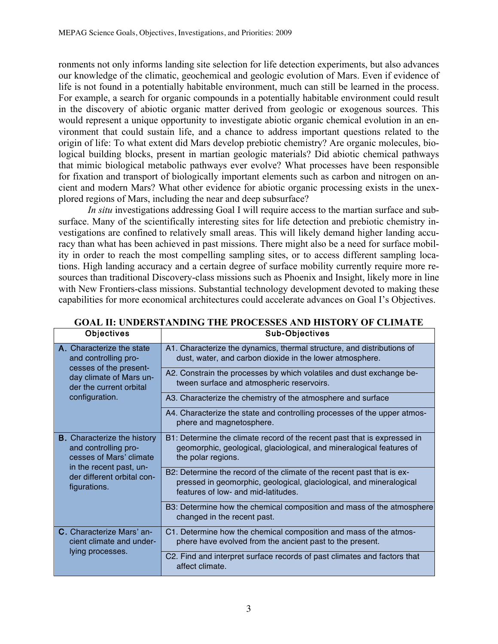ronments not only informs landing site selection for life detection experiments, but also advances our knowledge of the climatic, geochemical and geologic evolution of Mars. Even if evidence of life is not found in a potentially habitable environment, much can still be learned in the process. For example, a search for organic compounds in a potentially habitable environment could result in the discovery of abiotic organic matter derived from geologic or exogenous sources. This would represent a unique opportunity to investigate abiotic organic chemical evolution in an environment that could sustain life, and a chance to address important questions related to the origin of life: To what extent did Mars develop prebiotic chemistry? Are organic molecules, biological building blocks, present in martian geologic materials? Did abiotic chemical pathways that mimic biological metabolic pathways ever evolve? What processes have been responsible for fixation and transport of biologically important elements such as carbon and nitrogen on ancient and modern Mars? What other evidence for abiotic organic processing exists in the unexplored regions of Mars, including the near and deep subsurface?

*In situ* investigations addressing Goal I will require access to the martian surface and subsurface. Many of the scientifically interesting sites for life detection and prebiotic chemistry investigations are confined to relatively small areas. This will likely demand higher landing accuracy than what has been achieved in past missions. There might also be a need for surface mobility in order to reach the most compelling sampling sites, or to access different sampling locations. High landing accuracy and a certain degree of surface mobility currently require more resources than traditional Discovery-class missions such as Phoenix and Insight, likely more in line with New Frontiers-class missions. Substantial technology development devoted to making these capabilities for more economical architectures could accelerate advances on Goal I's Objectives.

| <b>UDIBULIVES</b>                                                                                                                                              | <b>SUD-ODIACITIES</b>                                                                                                                                                                |
|----------------------------------------------------------------------------------------------------------------------------------------------------------------|--------------------------------------------------------------------------------------------------------------------------------------------------------------------------------------|
| A. Characterize the state<br>and controlling pro-<br>cesses of the present-<br>day climate of Mars un-<br>der the current orbital<br>configuration.            | A1. Characterize the dynamics, thermal structure, and distributions of<br>dust, water, and carbon dioxide in the lower atmosphere.                                                   |
|                                                                                                                                                                | A2. Constrain the processes by which volatiles and dust exchange be-<br>tween surface and atmospheric reservoirs.                                                                    |
|                                                                                                                                                                | A3. Characterize the chemistry of the atmosphere and surface                                                                                                                         |
|                                                                                                                                                                | A4. Characterize the state and controlling processes of the upper atmos-<br>phere and magnetosphere.                                                                                 |
| <b>B.</b> Characterize the history<br>and controlling pro-<br>cesses of Mars' climate<br>in the recent past, un-<br>der different orbital con-<br>figurations. | B1: Determine the climate record of the recent past that is expressed in<br>geomorphic, geological, glaciological, and mineralogical features of<br>the polar regions.               |
|                                                                                                                                                                | B2: Determine the record of the climate of the recent past that is ex-<br>pressed in geomorphic, geological, glaciological, and mineralogical<br>features of low- and mid-latitudes. |
|                                                                                                                                                                | B3: Determine how the chemical composition and mass of the atmosphere<br>changed in the recent past.                                                                                 |
| <b>C.</b> Characterize Mars' an-<br>cient climate and under-<br>lying processes.                                                                               | C1. Determine how the chemical composition and mass of the atmos-<br>phere have evolved from the ancient past to the present.                                                        |
|                                                                                                                                                                | C2. Find and interpret surface records of past climates and factors that<br>affect climate.                                                                                          |

#### **GOAL II: UNDERSTANDING THE PROCESSES AND HISTORY OF CLIMATE Sub-Objectives**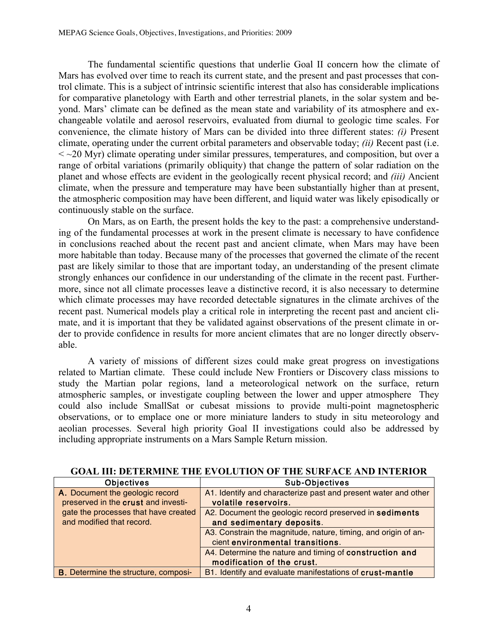The fundamental scientific questions that underlie Goal II concern how the climate of Mars has evolved over time to reach its current state, and the present and past processes that control climate. This is a subject of intrinsic scientific interest that also has considerable implications for comparative planetology with Earth and other terrestrial planets, in the solar system and beyond. Mars' climate can be defined as the mean state and variability of its atmosphere and exchangeable volatile and aerosol reservoirs, evaluated from diurnal to geologic time scales. For convenience, the climate history of Mars can be divided into three different states: *(i)* Present climate, operating under the current orbital parameters and observable today; *(ii)* Recent past (i.e.  $\langle \sim$  20 Myr) climate operating under similar pressures, temperatures, and composition, but over a range of orbital variations (primarily obliquity) that change the pattern of solar radiation on the planet and whose effects are evident in the geologically recent physical record; and *(iii)* Ancient climate, when the pressure and temperature may have been substantially higher than at present, the atmospheric composition may have been different, and liquid water was likely episodically or continuously stable on the surface.

On Mars, as on Earth, the present holds the key to the past: a comprehensive understanding of the fundamental processes at work in the present climate is necessary to have confidence in conclusions reached about the recent past and ancient climate, when Mars may have been more habitable than today. Because many of the processes that governed the climate of the recent past are likely similar to those that are important today, an understanding of the present climate strongly enhances our confidence in our understanding of the climate in the recent past. Furthermore, since not all climate processes leave a distinctive record, it is also necessary to determine which climate processes may have recorded detectable signatures in the climate archives of the recent past. Numerical models play a critical role in interpreting the recent past and ancient climate, and it is important that they be validated against observations of the present climate in order to provide confidence in results for more ancient climates that are no longer directly observable.

A variety of missions of different sizes could make great progress on investigations related to Martian climate. These could include New Frontiers or Discovery class missions to study the Martian polar regions, land a meteorological network on the surface, return atmospheric samples, or investigate coupling between the lower and upper atmosphere They could also include SmallSat or cubesat missions to provide multi-point magnetospheric observations, or to emplace one or more miniature landers to study in situ meteorology and aeolian processes. Several high priority Goal II investigations could also be addressed by including appropriate instruments on a Mars Sample Return mission.

| <b>Objectives</b>                           | <b>Sub-Objectives</b>                                          |
|---------------------------------------------|----------------------------------------------------------------|
| A. Document the geologic record             | A1. Identify and characterize past and present water and other |
| preserved in the crust and investi-         | volatile reservoirs.                                           |
| gate the processes that have created        | A2. Document the geologic record preserved in sediments        |
| and modified that record.                   | and sedimentary deposits.                                      |
|                                             | A3. Constrain the magnitude, nature, timing, and origin of an- |
|                                             | cient environmental transitions.                               |
|                                             | A4. Determine the nature and timing of construction and        |
|                                             | modification of the crust.                                     |
| <b>B.</b> Determine the structure, composi- | B1. Identify and evaluate manifestations of crust-mantle       |

# **GOAL III: DETERMINE THE EVOLUTION OF THE SURFACE AND INTERIOR**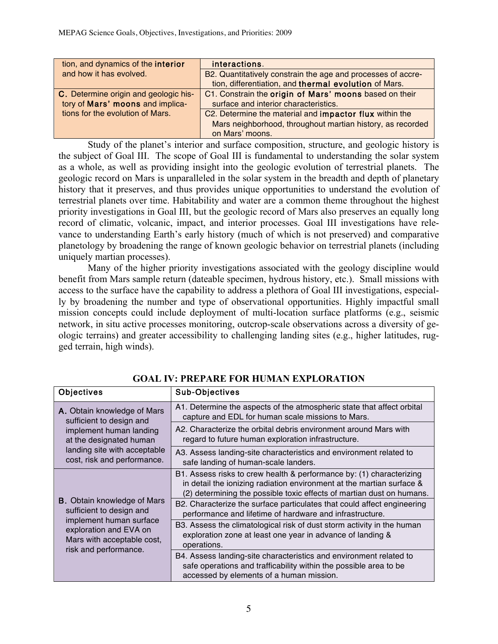| tion, and dynamics of the interior    | interactions.                                                  |
|---------------------------------------|----------------------------------------------------------------|
| and how it has evolved.               | B2. Quantitatively constrain the age and processes of accre-   |
|                                       | tion, differentiation, and thermal evolution of Mars.          |
| C. Determine origin and geologic his- | C1. Constrain the origin of Mars' moons based on their         |
| tory of Mars' moons and implica-      | surface and interior characteristics.                          |
| tions for the evolution of Mars.      | C2. Determine the material and <b>impactor flux</b> within the |
|                                       | Mars neighborhood, throughout martian history, as recorded     |
|                                       | on Mars' moons.                                                |

Study of the planet's interior and surface composition, structure, and geologic history is the subject of Goal III. The scope of Goal III is fundamental to understanding the solar system as a whole, as well as providing insight into the geologic evolution of terrestrial planets. The geologic record on Mars is unparalleled in the solar system in the breadth and depth of planetary history that it preserves, and thus provides unique opportunities to understand the evolution of terrestrial planets over time. Habitability and water are a common theme throughout the highest priority investigations in Goal III, but the geologic record of Mars also preserves an equally long record of climatic, volcanic, impact, and interior processes. Goal III investigations have relevance to understanding Earth's early history (much of which is not preserved) and comparative planetology by broadening the range of known geologic behavior on terrestrial planets (including uniquely martian processes).

Many of the higher priority investigations associated with the geology discipline would benefit from Mars sample return (dateable specimen, hydrous history, etc.). Small missions with access to the surface have the capability to address a plethora of Goal III investigations, especially by broadening the number and type of observational opportunities. Highly impactful small mission concepts could include deployment of multi-location surface platforms (e.g., seismic network, in situ active processes monitoring, outcrop-scale observations across a diversity of geologic terrains) and greater accessibility to challenging landing sites (e.g., higher latitudes, rugged terrain, high winds).

| Objectives                                                                                                                                                                   | Sub-Objectives                                                                                                                                                                                                         |
|------------------------------------------------------------------------------------------------------------------------------------------------------------------------------|------------------------------------------------------------------------------------------------------------------------------------------------------------------------------------------------------------------------|
| A. Obtain knowledge of Mars<br>sufficient to design and<br>implement human landing<br>at the designated human<br>landing site with acceptable<br>cost, risk and performance. | A1. Determine the aspects of the atmospheric state that affect orbital<br>capture and EDL for human scale missions to Mars.                                                                                            |
|                                                                                                                                                                              | A2. Characterize the orbital debris environment around Mars with<br>regard to future human exploration infrastructure.                                                                                                 |
|                                                                                                                                                                              | A3. Assess landing-site characteristics and environment related to<br>safe landing of human-scale landers.                                                                                                             |
| <b>B.</b> Obtain knowledge of Mars<br>sufficient to design and<br>implement human surface<br>exploration and EVA on<br>Mars with acceptable cost,<br>risk and performance.   | B1. Assess risks to crew health & performance by: (1) characterizing<br>in detail the ionizing radiation environment at the martian surface &<br>(2) determining the possible toxic effects of martian dust on humans. |
|                                                                                                                                                                              | B2. Characterize the surface particulates that could affect engineering<br>performance and lifetime of hardware and infrastructure.                                                                                    |
|                                                                                                                                                                              | B3. Assess the climatological risk of dust storm activity in the human<br>exploration zone at least one year in advance of landing &<br>operations.                                                                    |
|                                                                                                                                                                              | B4. Assess landing-site characteristics and environment related to<br>safe operations and trafficability within the possible area to be<br>accessed by elements of a human mission.                                    |

**GOAL IV: PREPARE FOR HUMAN EXPLORATION**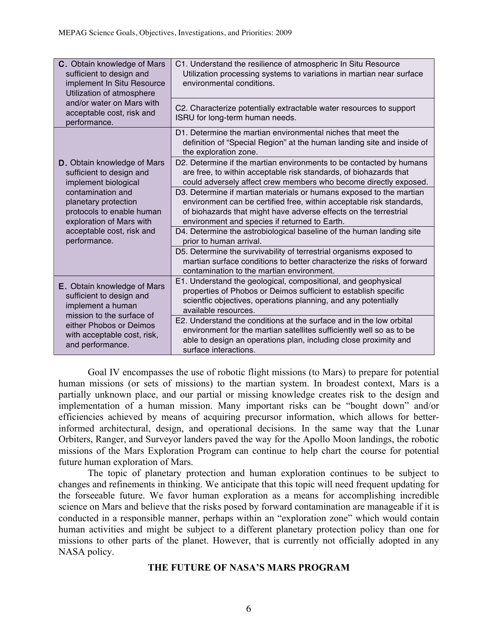| C. Obtain knowledge of Mars<br>sufficient to design and<br>implement In Situ Resource<br>Utilization of atmosphere<br>and/or water on Mars with<br>acceptable cost, risk and<br>performance. | C1. Understand the resilience of atmospheric In Situ Resource<br>Utilization processing systems to variations in martian near surface<br>environmental conditions.                                                                                               |
|----------------------------------------------------------------------------------------------------------------------------------------------------------------------------------------------|------------------------------------------------------------------------------------------------------------------------------------------------------------------------------------------------------------------------------------------------------------------|
|                                                                                                                                                                                              | C2. Characterize potentially extractable water resources to support<br>ISRU for long-term human needs.                                                                                                                                                           |
|                                                                                                                                                                                              | D1. Determine the martian environmental niches that meet the<br>definition of "Special Region" at the human landing site and inside of<br>the exploration zone.                                                                                                  |
| D. Obtain knowledge of Mars<br>sufficient to design and<br>implement biological                                                                                                              | D2. Determine if the martian environments to be contacted by humans<br>are free, to within acceptable risk standards, of biohazards that<br>could adversely affect crew members who become directly exposed.                                                     |
| contamination and<br>planetary protection<br>protocols to enable human<br>exploration of Mars with                                                                                           | D3. Determine if martian materials or humans exposed to the martian<br>environment can be certified free, within acceptable risk standards,<br>of biohazards that might have adverse effects on the terrestrial<br>environment and species if returned to Earth. |
| acceptable cost, risk and<br>performance.                                                                                                                                                    | D4. Determine the astrobiological baseline of the human landing site<br>prior to human arrival.                                                                                                                                                                  |
|                                                                                                                                                                                              | D5. Determine the survivability of terrestrial organisms exposed to<br>martian surface conditions to better characterize the risks of forward<br>contamination to the martian environment.                                                                       |
| E. Obtain knowledge of Mars<br>sufficient to design and<br>implement a human<br>mission to the surface of<br>either Phobos or Deimos<br>with acceptable cost, risk,<br>and performance.      | E1. Understand the geological, compositional, and geophysical<br>properties of Phobos or Deimos sufficient to establish specific<br>scientfic objectives, operations planning, and any potentially<br>available resources.                                       |
|                                                                                                                                                                                              | E2. Understand the conditions at the surface and in the low orbital<br>environment for the martian satellites sufficiently well so as to be<br>able to design an operations plan, including close proximity and<br>surface interactions.                         |

Goal IV encompasses the use of robotic flight missions (to Mars) to prepare for potential human missions (or sets of missions) to the martian system. In broadest context, Mars is a partially unknown place, and our partial or missing knowledge creates risk to the design and implementation of a human mission. Many important risks can be "bought down" and/or efficiencies achieved by means of acquiring precursor information, which allows for betterinformed architectural, design, and operational decisions. In the same way that the Lunar Orbiters, Ranger, and Surveyor landers paved the way for the Apollo Moon landings, the robotic missions of the Mars Exploration Program can continue to help chart the course for potential future human exploration of Mars.

The topic of planetary protection and human exploration continues to be subject to changes and refinements in thinking. We anticipate that this topic will need frequent updating for the forseeable future. We favor human exploration as a means for accomplishing incredible science on Mars and believe that the risks posed by forward contamination are manageable if it is conducted in a responsible manner, perhaps within an "exploration zone" which would contain human activities and might be subject to a different planetary protection policy than one for missions to other parts of the planet. However, that is currently not officially adopted in any NASA policy.

# **THE FUTURE OF NASA'S MARS PROGRAM**